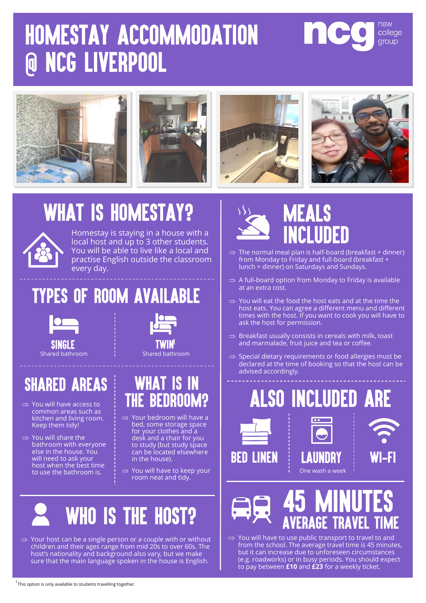## HOMESTAY ACCOMMODATION **@ NCG LIVERPOOL**





## **WHAT IS HOMESTAY?**



Homestay is staying in a house with a local host and up to 3 other students. You will be able to live like a local and practise English outside the classroom every day.

### **TYPES OF ROOM AVAILABLE**



#### **SHARED AREAS**

- $\Rightarrow$  You will have access to common areas such as kitchen and living room. Keep them tidy!
- $\Rightarrow$  You will share the bathroom with everyone else in the house. You will need to ask your host when the best time to use the bathroom is.

# Shared bathroom Shared bathroom

#### **WHAT IS IN THE BEDROOM?**

- $\Rightarrow$  Your bedroom will have a bed, some storage space for your clothes and a desk and a chair for you to study (but study space can be located elsewhere in the house).
- $\Rightarrow$  You will have to keep your room neat and tidy.



 $\Rightarrow$  Your host can be a single person or a couple with or without children and their ages range from mid 20s to over 60s. The host's nationality and background also vary, but we make sure that the main language spoken in the house is English.



- $\Rightarrow$  The normal meal plan is half-board (breakfast + dinner) from Monday to Friday and full-board (breakfast + lunch + dinner) on Saturdays and Sundays.
- $\Rightarrow$  A full-board option from Monday to Friday is available at an extra cost.
- $\Rightarrow$  You will eat the food the host eats and at the time the host eats. You can agree a different menu and different times with the host. If you want to cook you will have to ask the host for permission.
- $\Rightarrow$  Breakfast usually consists in cereals with milk, toast and marmalade, fruit juice and tea or coffee.
- $\Rightarrow$  Special dietary requirements or food allergies must be declared at the time of booking so that the host can be advised accordingly.











 $\Rightarrow$  You will have to use public transport to travel to and from the school. The average travel time is 45 minutes, but it can increase due to unforeseen circumstances (e.g. roadworks) or in busy periods. You should expect to pay between **£10** and **£23** for a weekly ticket.